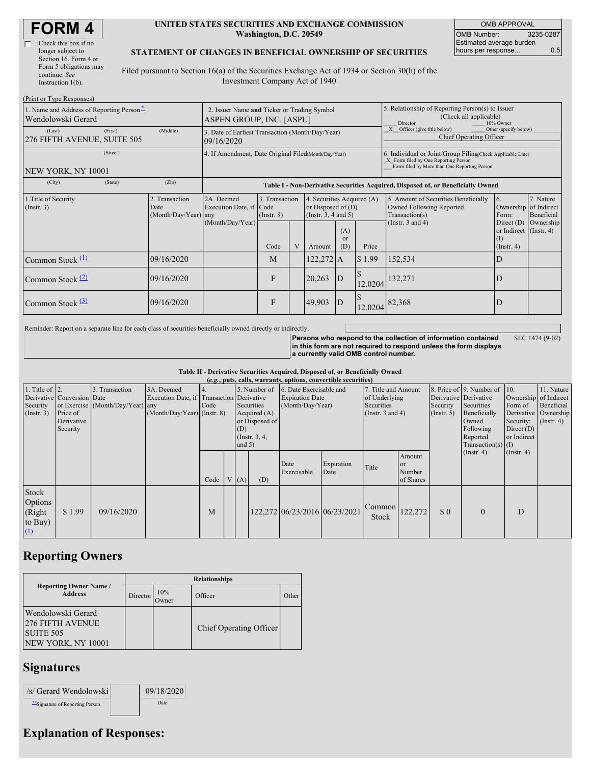| <b>FORM4</b> |  |
|--------------|--|
|--------------|--|

| Check this box if no   |  |
|------------------------|--|
| longer subject to      |  |
| Section 16. Form 4 or  |  |
| Form 5 obligations may |  |
| continue. See          |  |
| Instruction $1(b)$ .   |  |

#### **UNITED STATES SECURITIES AND EXCHANGE COMMISSION Washington, D.C. 20549**

OMB APPROVAL OMB Number: 3235-0287 Estimated average burden hours per response... 0.5

#### **STATEMENT OF CHANGES IN BENEFICIAL OWNERSHIP OF SECURITIES**

Filed pursuant to Section 16(a) of the Securities Exchange Act of 1934 or Section 30(h) of the Investment Company Act of 1940

| (Print or Type Responses)                                      |          |                                                                         |                                                                                  |                                   |                                                                                |             |                                                                                                     |                                                                                                                                                    |                                                                                  |                                                                   |           |  |
|----------------------------------------------------------------|----------|-------------------------------------------------------------------------|----------------------------------------------------------------------------------|-----------------------------------|--------------------------------------------------------------------------------|-------------|-----------------------------------------------------------------------------------------------------|----------------------------------------------------------------------------------------------------------------------------------------------------|----------------------------------------------------------------------------------|-------------------------------------------------------------------|-----------|--|
| 1. Name and Address of Reporting Person-<br>Wendolowski Gerard |          | 2. Issuer Name and Ticker or Trading Symbol<br>ASPEN GROUP, INC. [ASPU] |                                                                                  |                                   |                                                                                |             | 5. Relationship of Reporting Person(s) to Issuer<br>(Check all applicable)<br>Director<br>10% Owner |                                                                                                                                                    |                                                                                  |                                                                   |           |  |
| (Last)<br>276 FIFTH AVENUE, SUITE 505                          | (First)  | (Middle)                                                                | 3. Date of Earliest Transaction (Month/Day/Year)<br>09/16/2020                   |                                   |                                                                                |             |                                                                                                     |                                                                                                                                                    | X Officer (give title below)<br>Other (specify below)<br>Chief Operating Officer |                                                                   |           |  |
| NEW YORK, NY 10001                                             | (Street) |                                                                         | 4. If Amendment, Date Original Filed(Month/Day/Year)                             |                                   |                                                                                |             |                                                                                                     | 6. Individual or Joint/Group Filing Check Applicable Line)<br>X Form filed by One Reporting Person<br>Form filed by More than One Reporting Person |                                                                                  |                                                                   |           |  |
| (City)                                                         | (State)  | (Zip)                                                                   | Table I - Non-Derivative Securities Acquired, Disposed of, or Beneficially Owned |                                   |                                                                                |             |                                                                                                     |                                                                                                                                                    |                                                                                  |                                                                   |           |  |
| 1. Title of Security<br>(Insert. 3)                            |          | 2. Transaction<br>Date<br>(Month/Day/Year) any                          | 2A. Deemed<br>Execution Date, if Code                                            | 3. Transaction<br>$($ Instr. $8)$ | 4. Securities Acquired (A)<br>or Disposed of $(D)$<br>(Instr. $3, 4$ and $5$ ) |             |                                                                                                     | 6.<br>5. Amount of Securities Beneficially<br>Owned Following Reported<br>Transaction(s)<br>Form:                                                  |                                                                                  | 7. Nature<br>Ownership of Indirect<br>Beneficial                  |           |  |
|                                                                |          |                                                                         | (Month/Day/Year)                                                                 | Code                              |                                                                                | Amount      | (A)<br><b>or</b><br>(D)                                                                             | Price                                                                                                                                              | (Instr. $3$ and $4$ )                                                            | Direct $(D)$<br>or Indirect (Instr. 4)<br>(1)<br>$($ Instr. 4 $)$ | Ownership |  |
| Common Stock $\Box$                                            |          | 09/16/2020                                                              |                                                                                  | M                                 |                                                                                | $122,272$ A |                                                                                                     | \$1.99                                                                                                                                             | 152,534                                                                          | D                                                                 |           |  |
| Common Stock $(2)$                                             |          | 09/16/2020                                                              |                                                                                  | F                                 |                                                                                | 20,263      | D                                                                                                   | 12.0204                                                                                                                                            | 132,271                                                                          | D                                                                 |           |  |
| Common Stock $(3)$                                             |          | 09/16/2020                                                              |                                                                                  | F                                 |                                                                                | 49,903      | $\mathbf{D}$                                                                                        | 12.0204                                                                                                                                            | 82,368                                                                           | D                                                                 |           |  |

Reminder: Report on a separate line for each class of securities beneficially owned directly or indirectly.

**Persons who respond to the collection of information contained in this form are not required to respond unless the form displays a currently valid OMB control number.** SEC 1474 (9-02)

**Table II - Derivative Securities Acquired, Disposed of, or Beneficially Owned**

|                                                   | (e.g., puts, calls, warrants, options, convertible securities)   |                                                    |                                                                                        |            |  |                 |                                                                   |                                                                                    |                    |                                                                             |                                            |                                                       |                                                                                                                      |                                                     |                                                                                          |
|---------------------------------------------------|------------------------------------------------------------------|----------------------------------------------------|----------------------------------------------------------------------------------------|------------|--|-----------------|-------------------------------------------------------------------|------------------------------------------------------------------------------------|--------------------|-----------------------------------------------------------------------------|--------------------------------------------|-------------------------------------------------------|----------------------------------------------------------------------------------------------------------------------|-----------------------------------------------------|------------------------------------------------------------------------------------------|
| 1. Title of $\vert$ 2.<br>Security<br>(Insert. 3) | Derivative Conversion Date<br>Price of<br>Derivative<br>Security | 3. Transaction<br>or Exercise (Month/Day/Year) any | 3A. Deemed<br>Execution Date, if Transaction Derivative<br>(Month/Day/Year) (Instr. 8) | 4.<br>Code |  | (D)<br>and $5)$ | Securities<br>Acquired $(A)$<br>or Disposed of<br>(Instr. $3, 4,$ | 5. Number of 6. Date Exercisable and<br><b>Expiration Date</b><br>(Month/Day/Year) |                    | 7. Title and Amount<br>of Underlying<br>Securities<br>(Instr. $3$ and $4$ ) |                                            | Derivative Derivative<br>Security<br>$($ Instr. 5 $)$ | 8. Price of 9. Number of 10.<br>Securities<br>Beneficially<br>Owned<br>Following<br>Reported<br>Transaction(s) $(I)$ | Form of<br>Security:<br>Direct $(D)$<br>or Indirect | 11. Nature<br>Ownership of Indirect<br>Beneficial<br>Derivative Ownership<br>(Insert. 4) |
|                                                   |                                                                  |                                                    |                                                                                        | Code       |  | V(A)            | (D)                                                               | Date<br>Exercisable                                                                | Expiration<br>Date | Title                                                                       | Amount<br><b>or</b><br>Number<br>of Shares |                                                       | $($ Instr. 4 $)$                                                                                                     | $($ Instr. 4 $)$                                    |                                                                                          |
| Stock<br>Options<br>(Right<br>to Buy)<br>$\Omega$ | \$1.99                                                           | 09/16/2020                                         |                                                                                        | M          |  |                 |                                                                   | 122,272 06/23/2016 06/23/2021                                                      |                    | $\left  \text{Common} \right $ 122,272<br>Stock                             |                                            | \$0                                                   | $\Omega$                                                                                                             | D                                                   |                                                                                          |

## **Reporting Owners**

|                                                                                  | <b>Relationships</b> |              |                         |       |  |  |  |  |
|----------------------------------------------------------------------------------|----------------------|--------------|-------------------------|-------|--|--|--|--|
| <b>Reporting Owner Name /</b><br><b>Address</b>                                  | Director             | 10%<br>Dwner | Officer                 | Other |  |  |  |  |
| Wendolowski Gerard<br><b>276 FIFTH AVENUE</b><br>SUITE 505<br>NEW YORK, NY 10001 |                      |              | Chief Operating Officer |       |  |  |  |  |

## **Signatures**

| /s/ Gerard Wendolowski           | 09/18/2020 |
|----------------------------------|------------|
| ** Signature of Reporting Person | Date.      |

# **Explanation of Responses:**